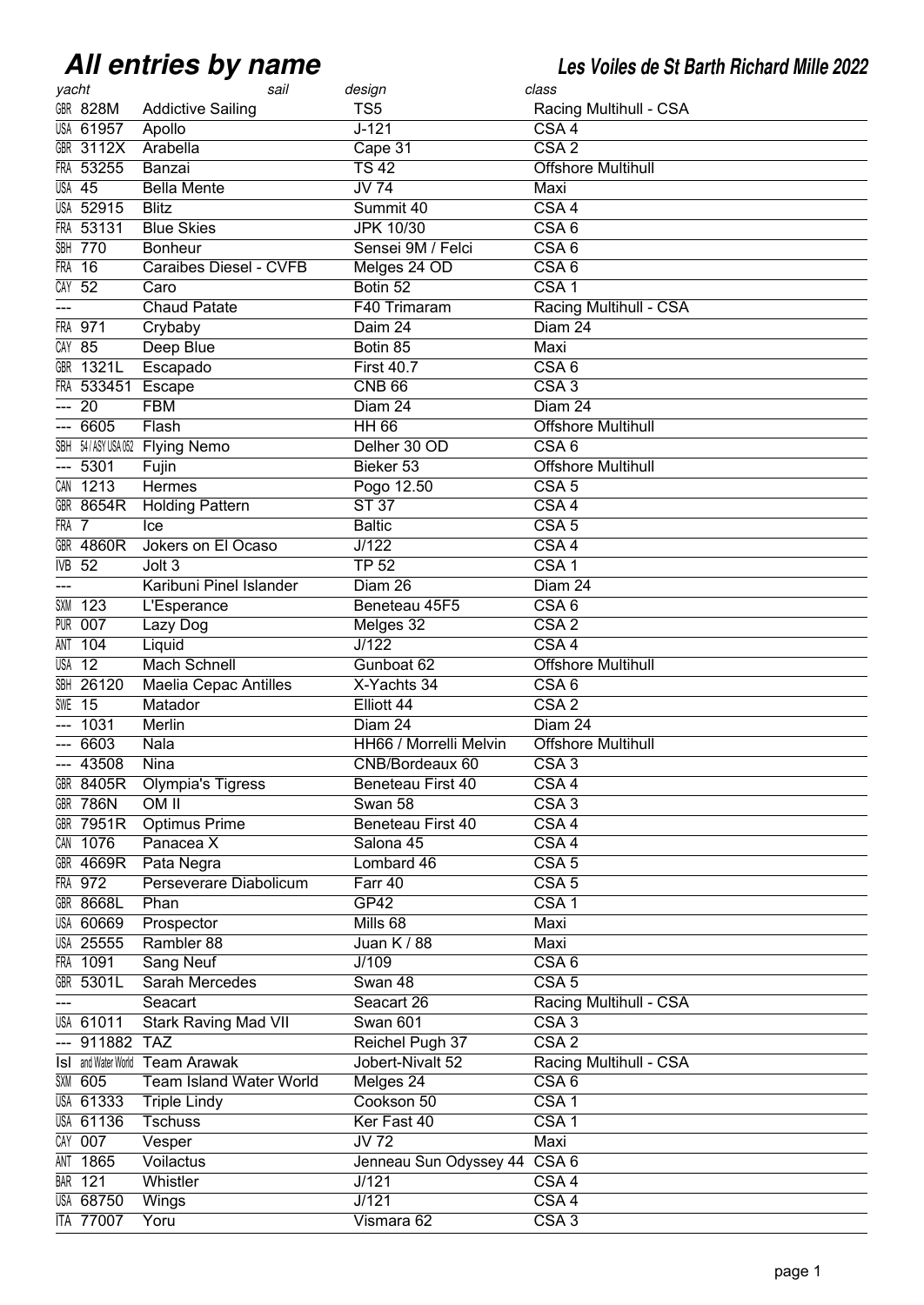## **All entries by name**

**All entries by name Les Voiles de St Barth Richard Mille 2022**

| yacht      |                            | sail                         | design                       | class                     |
|------------|----------------------------|------------------------------|------------------------------|---------------------------|
|            | <b>GBR 828M</b>            | <b>Addictive Sailing</b>     | TS <sub>5</sub>              | Racing Multihull - CSA    |
|            | <b>USA 61957</b>           | Apollo                       | $J - 121$                    | CSA <sub>4</sub>          |
|            | <b>GBR 3112X</b>           | Arabella                     | Cape 31                      | CSA2                      |
|            | FRA 53255                  | Banzai                       | $\overline{TS42}$            | <b>Offshore Multihull</b> |
|            | <b>USA 45</b>              | <b>Bella Mente</b>           | $JV$ 74                      | Maxi                      |
|            | <b>USA 52915</b>           | <b>Blitz</b>                 | Summit 40                    | CSA <sub>4</sub>          |
|            | FRA 53131                  | <b>Blue Skies</b>            | <b>JPK 10/30</b>             | CSA6                      |
|            | <b>SBH 770</b>             | <b>Bonheur</b>               | Sensei 9M / Felci            | CSA6                      |
| <b>FRA</b> | $\overline{16}$            | Caraibes Diesel - CVFB       | Melges 24 OD                 | CSA6                      |
| CAY        | $\overline{52}$            | Caro                         | Botin <sub>52</sub>          | CSA <sub>1</sub>          |
|            |                            | <b>Chaud Patate</b>          | F40 Trimaram                 | Racing Multihull - CSA    |
| FRA        | 971                        | Crybaby                      | Daim 24                      | Diam 24                   |
|            | $CAY$ 85                   | Deep Blue                    | Botin 85                     | Maxi                      |
|            | <b>GBR 1321L</b>           | Escapado                     | <b>First 40.7</b>            | CSA6                      |
|            | FRA 533451                 | Escape                       | <b>CNB 66</b>                | CSA3                      |
| ---        | $\overline{20}$            | <b>FBM</b>                   | Diam 24                      | Diam 24                   |
| ---        | 6605                       | Flash                        | <b>HH 66</b>                 | <b>Offshore Multihull</b> |
|            |                            | SBH 54/ASYUSA052 Flying Nemo | Delher 30 OD                 | CSA6                      |
| ---        | 5301                       | Fujin                        | Bieker 53                    | <b>Offshore Multihull</b> |
|            | CAN 1213                   | Hermes                       | Pogo 12.50                   | CSA <sub>5</sub>          |
|            | <b>GBR 8654R</b>           | <b>Holding Pattern</b>       | <b>ST 37</b>                 | $\overline{CSA4}$         |
| FRA 7      |                            | Ice                          | <b>Baltic</b>                | CSA <sub>5</sub>          |
|            | <b>GBR 4860R</b>           | Jokers on El Ocaso           | J/122                        | CSA <sub>4</sub>          |
| IVB        | 52                         | Jolt <sub>3</sub>            | <b>TP 52</b>                 | CSA <sub>1</sub>          |
|            |                            | Karibuni Pinel Islander      | Diam 26                      | Diam 24                   |
| SXM        | 123                        | L'Esperance                  | Beneteau 45F5                | CSA6                      |
| PUR        | 007                        | Lazy Dog                     | Melges 32                    | CSA2                      |
| ANT        | 104                        | Liquid                       | $\overline{J/122}$           | $\overline{CSA4}$         |
|            | $\overline{USA}$ 12        | <b>Mach Schnell</b>          | Gunboat 62                   | <b>Offshore Multihull</b> |
| SBH        | 26120                      | <b>Maelia Cepac Antilles</b> | X-Yachts 34                  | CSA6                      |
| SWE        | $\overline{15}$            | Matador                      | Elliott 44                   | $\overline{CSA2}$         |
|            | 1031                       | Merlin                       | Diam 24                      | Diam 24                   |
|            | 6603                       | Nala                         | HH66 / Morrelli Melvin       | <b>Offshore Multihull</b> |
|            | $-43508$                   | Nina                         | CNB/Bordeaux 60              | CSA3                      |
|            | GBR 8405R                  | <b>Olympia's Tigress</b>     | Beneteau First 40            | CSA4                      |
|            | <b>GBR 786N</b>            | OM II                        | Swan 58                      | CSA3                      |
|            | <b>GBR 7951R</b>           | <b>Optimus Prime</b>         | Beneteau First 40            | CSA4                      |
|            | CAN 1076                   | Panacea X                    | Salona 45                    | CSA4                      |
|            | <b>GBR 4669R</b>           | Pata Negra                   | Lombard 46                   | CSA <sub>5</sub>          |
|            | FRA 972                    | Perseverare Diabolicum       | Farr 40                      | $\overline{CSA}$ 5        |
|            | <b>GBR 8668L</b>           | Phan                         | GP42                         | CSA1                      |
|            | <b>USA 60669</b>           | Prospector                   | Mills 68                     | Maxi                      |
|            | <b>USA 25555</b>           | Rambler 88                   | Juan K / 88                  | Maxi                      |
|            | FRA 1091                   | <b>Sang Neuf</b>             | J/109                        | CSA6                      |
|            | GBR 5301L                  | <b>Sarah Mercedes</b>        | Swan 48                      | CSA <sub>5</sub>          |
| ---        |                            | Seacart                      | Seacart 26                   | Racing Multihull - CSA    |
|            | <b>USA 61011</b>           | <b>Stark Raving Mad VII</b>  | <b>Swan 601</b>              | CSA3                      |
|            | 911882 TAZ                 |                              | Reichel Pugh 37              | $\overline{CSA2}$         |
|            | <b>IsI</b> and Water World | <b>Team Arawak</b>           | Jobert-Nivalt 52             | Racing Multihull - CSA    |
|            | <b>SXM 605</b>             | Team Island Water World      | Melges 24                    | CSA6                      |
|            | <b>USA 61333</b>           | <b>Triple Lindy</b>          | Cookson 50                   | CSA1                      |
|            | <b>USA 61136</b>           | <b>Tschuss</b>               | Ker Fast 40                  | CSA <sub>1</sub>          |
|            | CAY 007                    | Vesper                       | $\overline{JV72}$            | Maxi                      |
| ANT        | 1865                       | Voilactus                    | Jenneau Sun Odyssey 44 CSA 6 |                           |
|            | <b>BAR 121</b>             | Whistler                     | J/121                        | CSA4                      |
|            | <b>USA 68750</b>           | Wings                        | J/121                        | CSA4                      |
|            | <b>ITA 77007</b>           | Yoru                         | Vismara 62                   | CSA3                      |